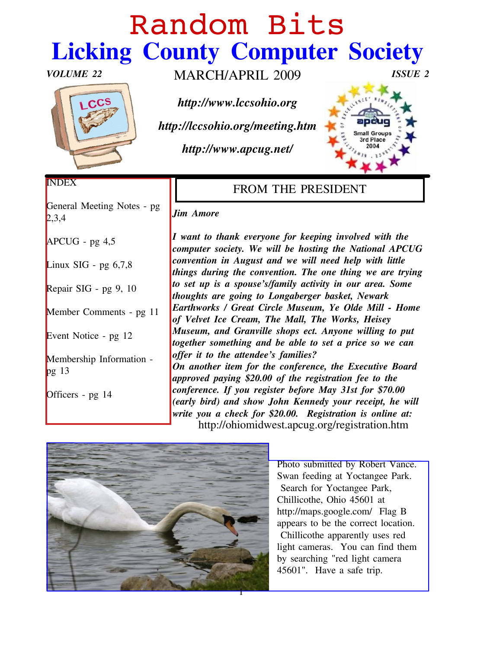# Sboepn! Cj ut Olf nlqj #Fr xqw #Frp sxwhu#Vrflhw

YROXP H#55 P DUFK2DSULO#533< LVVXH#5

kws=22z z z 1of vr klr 1r uj

kws=22of f vr klr 1r uj 2p hhwlqj 1kwp

kws=22z z z 1dsf xj 1qhw2

| <b>LQGH</b>                                               | I URP #WKH#SUHVLGHQW                                                                                                                                                                                                            |
|-----------------------------------------------------------|---------------------------------------------------------------------------------------------------------------------------------------------------------------------------------------------------------------------------------|
| $\overline{J}$ hqhudd#P hhviligi #Qr vinv#0#sj #<br>5/6/7 | Mip #Dpruh                                                                                                                                                                                                                      |
| DSFXJ #Xjj #7/8                                           | L#z dqv#wr#wk.dqn#hyhu r qh#iru#nhhslqj#qyroyhg#zlwk#wkh#<br>frp sx whut 4 or fl hwy 1# Z h# z loot#eh# k r ww.logi# wk h# Qdwlr qdd# DSFX J#                                                                                   |
| $\Box$ Qqx{ #VLJ #0#sj #9/: /;                            | frqyhqwtrq#lq#Dxjxw#dqg#zh#zloo#qhhg#khos#zlwk#dwoh#<br>wklo jw#gxulo j#wkh#frqyhqwlrq1#Wkh#rqh#wklo j#zh#duh#wyllo j#                                                                                                          |
| Uhsdlu# $\Lambda$ Uhsdlu# $\Lambda$ # $\mu$ # $\Lambda$ 3 | w:#Vinw#xs#lv#d#vsrxvh"v2ldpld;#dfwlylw #lq#rxu#duhd1#Vrph#<br>wkrxj kw#duh#jrlqj#wr#Orqjdehujhu#edvnhw4#Qhzdun#                                                                                                                |
| P hp ehu# $F$ r p p hqw#0#sj#44                           | Holuwikiz runv#2#Juholw#Flufoh#Pxvhxp/#\h#Rogh#Ploc#C#Krph#<br>ri#Yhoyhw#Lfh#Fuhdp/#Wkh#Pdoo/#Wkh#Zrunv/#Khlvh #                                                                                                                |
| Hyhqw#Qr wf h#0#sj #45                                    | P x vhxp/#dqg#J udqylooh#vkrsv#hfw1#Dq rqh#z loolqj#wr#sxw#<br>wrj hyk hu#vr p hykligj#dag#eh#dedn#wr#vhy#d#sulfh#vr#zh#fdq#                                                                                                    |
| $\mathsf P$ hp ehuwkls#Lqirup dwirq#0#<br>sj $#46$        | riihu#lw#wr#wkh#dwwnqghh"v#idplothvB##<br>Ra#dar vkhu#lvlap #ir u#wkh#fr aihuhafh/#wkh#H{hf x wlyh#Erdua#<br>dssur yhg#sd lqj# 53133#ri#Mkh#uhjlwudwirq#ihh#wr#Mkh#                                                             |
| Riilfhu#O#sj#47                                           | frqihuhqfh1#Li# rx#uhjlw.knu#ehiruh#Pd #64w#iru#:3133#<br>+hduo)#elug,#dqg#vkrz#Mrkq#Nhqqhg # rxu#uhfhlsw#kh#zloo#<br>z uwh# rx#d#fkhfn#iru#531331##Uhjlwudwtq#lv#rqolqh#dw#<br>#####kws=22rklrplgzhw1dsfxj1ruj2uhjlwudwig1kwp# |

| Skr wr#xep Iwlag#e  #Urehu#PY daf h1 |
|--------------------------------------|
| Vz da# hhalaj #dwA rfwdaj hh#Sdun#   |
| #Vholufk#iru#\rfwdqjhh#Sdun/#        |
| Fkloolfrwkh/#Rklr#78934#dw#          |
| kwse-22ods∨1;rrjoh1frp2##lodj#E#     |
| dsshdw#wr#eh#wkh#fruuhfw#orfdwrq1#   |
| #Fklootfrwkh#dssduhqvot#xvhv#uhg#    |
| dikwtf dp hudv##A rx#fdq#llqg#wkhp#  |
| e  #vhduf klqj #%hg#dj kw#f dp hud#  |
| 78934%##Kdyh#d#vdih#wis1             |
|                                      |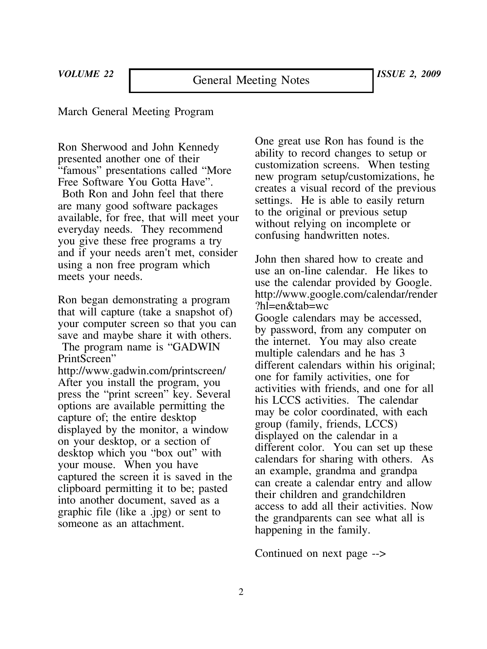# March General Meeting Program

Ron Sherwood and John Kennedy presented another one of their "famous" presentations called "More Free Software You Gotta Have".

Both Ron and John feel that there are many good software packages available, for free, that will meet your everyday needs. They recommend you give these free programs a try and if your needs aren't met, consider using a non free program which meets your needs.

Ron began demonstrating a program that will capture (take a snapshot of) your computer screen so that you can save and maybe share it with others.

The program name is "GADWIN PrintScreen"

http://www.gadwin.com/printscreen/ After you install the program, you press the "print screen" key. Several options are available permitting the capture of; the entire desktop displayed by the monitor, a window on your desktop, or a section of desktop which you "box out" with your mouse. When you have captured the screen it is saved in the clipboard permitting it to be; pasted into another document, saved as a graphic file (like a .jpg) or sent to someone as an attachment.

One great use Ron has found is the ability to record changes to setup or customization screens. When testing new program setup/customizations, he creates a visual record of the previous settings. He is able to easily return to the original or previous setup without relying on incomplete or confusing handwritten notes.

John then shared how to create and use an on-line calendar. He likes to use the calendar provided by Google. http://www.google.com/calendar/render ?hl=en&tab=wc Google calendars may be accessed, by password, from any computer on the internet. You may also create multiple calendars and he has 3 different calendars within his original; one for family activities, one for activities with friends, and one for all his LCCS activities. The calendar may be color coordinated, with each group (family, friends, LCCS) displayed on the calendar in a different color. You can set up these calendars for sharing with others. As an example, grandma and grandpa can create a calendar entry and allow their children and grandchildren access to add all their activities. Now the grandparents can see what all is happening in the family.

Continued on next page -->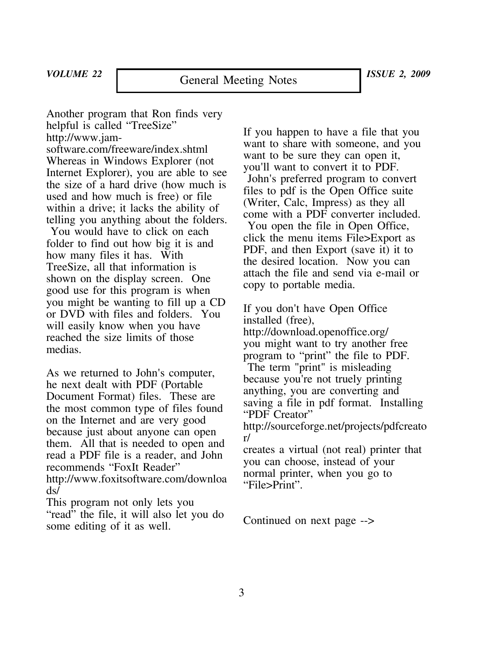Another program that Ron finds very helpful is called "TreeSize" http://www.jam-

software.com/freeware/index.shtml Whereas in Windows Explorer (not Internet Explorer), you are able to see the size of a hard drive (how much is used and how much is free) or file within a drive; it lacks the ability of telling you anything about the folders.

You would have to click on each folder to find out how big it is and how many files it has. With TreeSize, all that information is shown on the display screen. One good use for this program is when you might be wanting to fill up a CD or DVD with files and folders. You will easily know when you have reached the size limits of those medias.

As we returned to John's computer, he next dealt with PDF (Portable Document Format) files. These are the most common type of files found on the Internet and are very good because just about anyone can open them. All that is needed to open and read a PDF file is a reader, and John recommends "FoxIt Reader" http://www.foxitsoftware.com/downloa ds/

This program not only lets you "read" the file, it will also let you do some editing of it as well.

If you happen to have a file that you want to share with someone, and you want to be sure they can open it, you'll want to convert it to PDF. John's preferred program to convert files to pdf is the Open Office suite (Writer, Calc, Impress) as they all come with a PDF converter included. You open the file in Open Office, click the menu items File>Export as PDF, and then Export (save it) it to the desired location. Now you can attach the file and send via e-mail or copy to portable media.

If you don't have Open Office installed (free), http://download.openoffice.org/ you might want to try another free program to "print" the file to PDF. The term "print" is misleading because you're not truely printing anything, you are converting and saving a file in pdf format. Installing "PDF Creator" http://sourceforge.net/projects/pdfcreato r/ creates a virtual (not real) printer that

you can choose, instead of your normal printer, when you go to "File>Print".

Continued on next page -->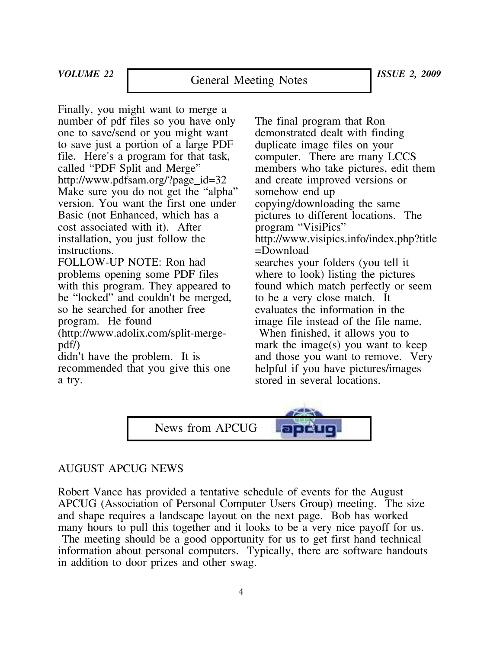*VOLUME 22 ISSUE 2, 2009* General Meeting Notes

Finally, you might want to merge a number of pdf files so you have only one to save/send or you might want to save just a portion of a large PDF file. Here's a program for that task, called "PDF Split and Merge" http://www.pdfsam.org/?page\_id=32 Make sure you do not get the "alpha" version. You want the first one under Basic (not Enhanced, which has a cost associated with it). After installation, you just follow the instructions.

FOLLOW-UP NOTE: Ron had problems opening some PDF files with this program. They appeared to be "locked" and couldn't be merged, so he searched for another free program. He found

(http://www.adolix.com/split-mergepdf/)

didn't have the problem. It is recommended that you give this one a try.

The final program that Ron demonstrated dealt with finding duplicate image files on your computer. There are many LCCS members who take pictures, edit them and create improved versions or somehow end up copying/downloading the same pictures to different locations. The program "VisiPics" http://www.visipics.info/index.php?title =Download searches your folders (you tell it where to look) listing the pictures found which match perfectly or seem to be a very close match. It evaluates the information in the image file instead of the file name.

When finished, it allows you to mark the image(s) you want to keep and those you want to remove. Very helpful if you have pictures/images stored in several locations.



# AUGUST APCUG NEWS

Robert Vance has provided a tentative schedule of events for the August APCUG (Association of Personal Computer Users Group) meeting. The size and shape requires a landscape layout on the next page. Bob has worked many hours to pull this together and it looks to be a very nice payoff for us.

The meeting should be a good opportunity for us to get first hand technical information about personal computers. Typically, there are software handouts in addition to door prizes and other swag.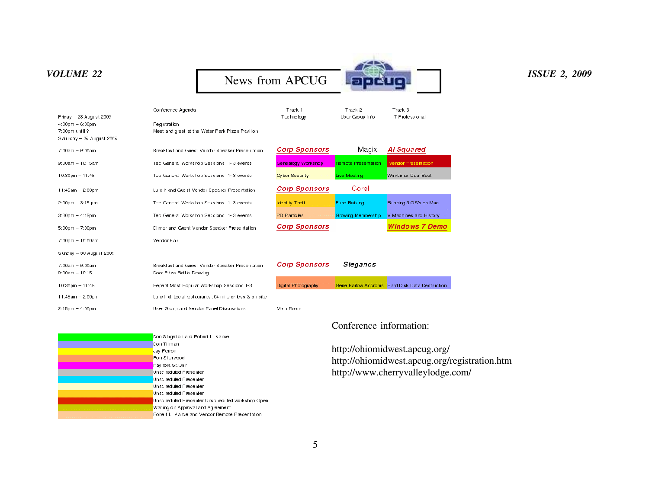

|                           | Conference Agenda                                     | Track 1               | Track 2                    | Track 3                                         |
|---------------------------|-------------------------------------------------------|-----------------------|----------------------------|-------------------------------------------------|
| Friday - 28 August 2009   |                                                       | Technology            | User Group Info            | IT Professional                                 |
| $4:00$ pm $-6:00$ pm      | <b>Registration</b>                                   |                       |                            |                                                 |
| 7:00pm until ?            | Meet and greet at the Water Park Pizza Pavilion       |                       |                            |                                                 |
| Saturday - 29 August 2009 |                                                       |                       |                            |                                                 |
| $7:00am - 9:00am$         | Breakfast and Guest Vendor Speaker Presentation       | <b>Corp Sponsors</b>  | Magix                      | Ai Squared                                      |
| 9:00am - 10:15am          | Tec General Workshop Sessions 1-3 events              | Genealogy Workshop    | <b>Remote Presentation</b> | Vendor Presentation                             |
| $10:30 \text{pm} - 11:45$ | Tec General Workshop Sessions 1-3 events              | <b>Cyber Security</b> | Live Meeting               | Win/Linux Dual Boot                             |
| $11:45am - 2:00pm$        | Lunch and Guest Vendor Speaker Presentation           | <b>Corp Sponsors</b>  | Corel                      |                                                 |
| $2:00$ pm $-3:15$ pm      | Tec General Workshop Sessions 1-3 events              | <b>Identity Theft</b> | <b>Fund Raising</b>        | Running 3 OS's on Mac                           |
| $3:30$ pm $-4:45$ pm      | Tec General Workshop Sessions 1-3 events              | PD Particles          | <b>Growing Membership</b>  | V Machines and History                          |
| $5:00$ pm $-7:00$ pm      | Dinner and Guest Vendor Speaker Presentation          | <b>Corp Sponsors</b>  |                            | <b>Windows 7 Demo</b>                           |
| $7:00$ pm $-10:00$ am     | Vendor Fair                                           |                       |                            |                                                 |
| Sunday - 30 August 2009   |                                                       |                       |                            |                                                 |
| $7:00am - 9:00am$         | Breakfast and Guest Vendor Speaker Presentation       | <b>Corp Sponsors</b>  | Steganos                   |                                                 |
| $9:00am - 10:15$          | Door Prize Raffle Drawing                             |                       |                            |                                                 |
| $10:30 \text{pm} - 11:45$ | Repeat Most Popular Workshop Sessions 1-3             | Digital Photography   |                            | Gene Barlow Accronis Hard Disk Data Destruction |
| $11:45$ am $-2:00$ pm     | Lunch at Local restaurants 104 mile or less & on site |                       |                            |                                                 |
| $2:15$ pm $-4:00$ pm      | User Group and Vendor Panel Discussions               | Main Room             |                            |                                                 |
|                           |                                                       |                       | Conference information:    |                                                 |
|                           | Don Singelton and Robert L. Vance                     |                       |                            |                                                 |

http://ohiomidwest.apcug.org/ http://ohiomidwest.apcug.org/registration.htm http://www.cherryvalleylodge.com/

| Don Singelton and Robert L. Vance                 |
|---------------------------------------------------|
| Don Tillman                                       |
| Jay Ferron                                        |
| Fon Sherwood                                      |
| Ray nota St. Cair                                 |
| Unscheduled Presenter                             |
| <b>Unscheduled Presenter</b>                      |
| Unscheduled Presenter                             |
| <b>Unscheduled Presenter</b>                      |
| Unscheduled Presenter Unscheduled workshop Open   |
| Waiting on Approval and Agreement                 |
| Bohert L. Viance and Vendor Bernote Presentation. |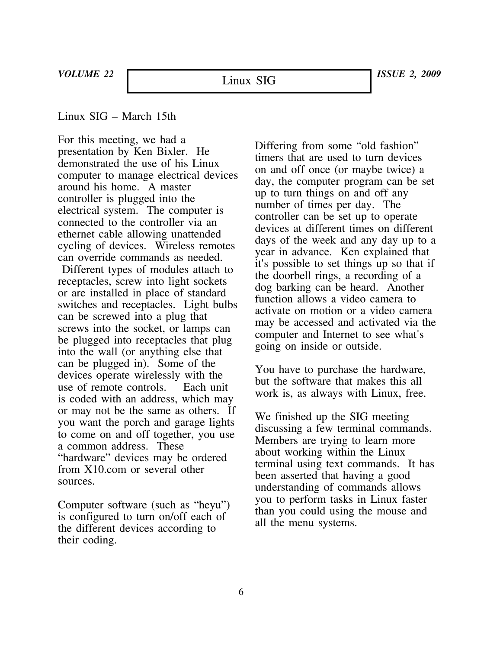# Linux SIG – March 15th

For this meeting, we had a presentation by Ken Bixler. He demonstrated the use of his Linux computer to manage electrical devices around his home. A master controller is plugged into the electrical system. The computer is connected to the controller via an ethernet cable allowing unattended cycling of devices. Wireless remotes can override commands as needed. Different types of modules attach to receptacles, screw into light sockets or are installed in place of standard switches and receptacles. Light bulbs can be screwed into a plug that screws into the socket, or lamps can be plugged into receptacles that plug into the wall (or anything else that can be plugged in). Some of the devices operate wirelessly with the use of remote controls. Each unit is coded with an address, which may or may not be the same as others. If you want the porch and garage lights to come on and off together, you use a common address. These "hardware" devices may be ordered from X10.com or several other sources.

Computer software (such as "heyu") is configured to turn on/off each of the different devices according to their coding.

Differing from some "old fashion" timers that are used to turn devices on and off once (or maybe twice) a day, the computer program can be set up to turn things on and off any number of times per day. The controller can be set up to operate devices at different times on different days of the week and any day up to a year in advance. Ken explained that it's possible to set things up so that if the doorbell rings, a recording of a dog barking can be heard. Another function allows a video camera to activate on motion or a video camera may be accessed and activated via the computer and Internet to see what's going on inside or outside.

You have to purchase the hardware, but the software that makes this all work is, as always with Linux, free.

We finished up the SIG meeting discussing a few terminal commands. Members are trying to learn more about working within the Linux terminal using text commands. It has been asserted that having a good understanding of commands allows you to perform tasks in Linux faster than you could using the mouse and all the menu systems.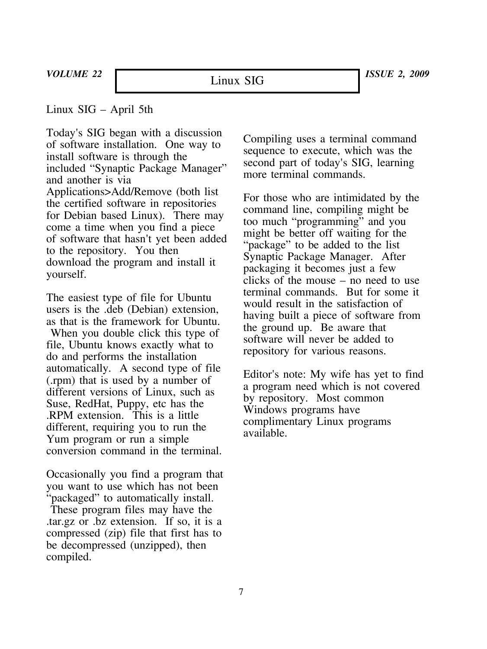Linux SIG – April 5th

Today's SIG began with a discussion of software installation. One way to install software is through the included "Synaptic Package Manager" and another is via Applications>Add/Remove (both list the certified software in repositories for Debian based Linux). There may come a time when you find a piece of software that hasn't yet been added to the repository. You then download the program and install it yourself.

The easiest type of file for Ubuntu users is the .deb (Debian) extension, as that is the framework for Ubuntu.

When you double click this type of file, Ubuntu knows exactly what to do and performs the installation automatically. A second type of file (.rpm) that is used by a number of different versions of Linux, such as Suse, RedHat, Puppy, etc has the .RPM extension. This is a little different, requiring you to run the Yum program or run a simple conversion command in the terminal.

Occasionally you find a program that you want to use which has not been "packaged" to automatically install. These program files may have the .tar.gz or .bz extension. If so, it is a compressed (zip) file that first has to be decompressed (unzipped), then compiled.

Compiling uses a terminal command sequence to execute, which was the second part of today's SIG, learning more terminal commands.

For those who are intimidated by the command line, compiling might be too much "programming" and you might be better off waiting for the "package" to be added to the list Synaptic Package Manager. After packaging it becomes just a few clicks of the mouse – no need to use terminal commands. But for some it would result in the satisfaction of having built a piece of software from the ground up. Be aware that software will never be added to repository for various reasons.

Editor's note: My wife has yet to find a program need which is not covered by repository. Most common Windows programs have complimentary Linux programs available.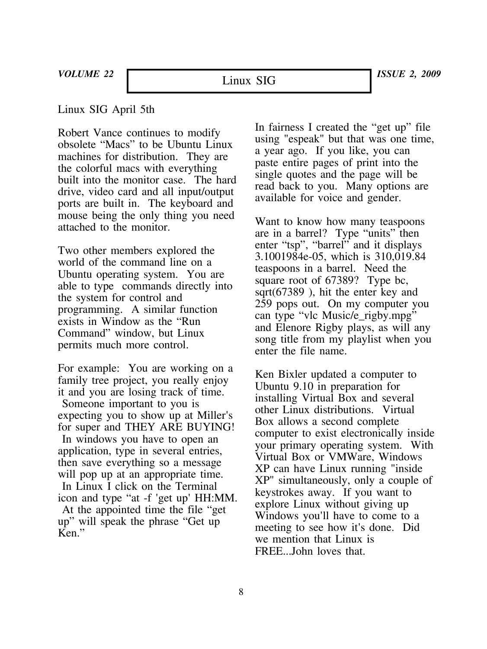Linux SIG

# Linux SIG April 5th

Robert Vance continues to modify obsolete "Macs" to be Ubuntu Linux machines for distribution. They are the colorful macs with everything built into the monitor case. The hard drive, video card and all input/output ports are built in. The keyboard and mouse being the only thing you need attached to the monitor.

Two other members explored the world of the command line on a Ubuntu operating system. You are able to type commands directly into the system for control and programming. A similar function exists in Window as the "Run Command" window, but Linux permits much more control.

For example: You are working on a family tree project, you really enjoy it and you are losing track of time. Someone important to you is expecting you to show up at Miller's for super and THEY ARE BUYING! In windows you have to open an application, type in several entries, then save everything so a message will pop up at an appropriate time. In Linux I click on the Terminal icon and type "at -f 'get up' HH:MM. At the appointed time the file "get up" will speak the phrase "Get up Ken."

In fairness I created the "get up" file using "espeak" but that was one time, a year ago. If you like, you can paste entire pages of print into the single quotes and the page will be read back to you. Many options are available for voice and gender.

Want to know how many teaspoons are in a barrel? Type "units" then enter "tsp", "barrel" and it displays 3.1001984e-05, which is 310,019.84 teaspoons in a barrel. Need the square root of 67389? Type bc, sqrt(67389 ), hit the enter key and 259 pops out. On my computer you can type "vlc Music/e\_rigby.mpg" and Elenore Rigby plays, as will any song title from my playlist when you enter the file name.

Ken Bixler updated a computer to Ubuntu 9.10 in preparation for installing Virtual Box and several other Linux distributions. Virtual Box allows a second complete computer to exist electronically inside your primary operating system. With Virtual Box or VMWare, Windows XP can have Linux running "inside XP" simultaneously, only a couple of keystrokes away. If you want to explore Linux without giving up Windows you'll have to come to a meeting to see how it's done. Did we mention that Linux is FREE...John loves that.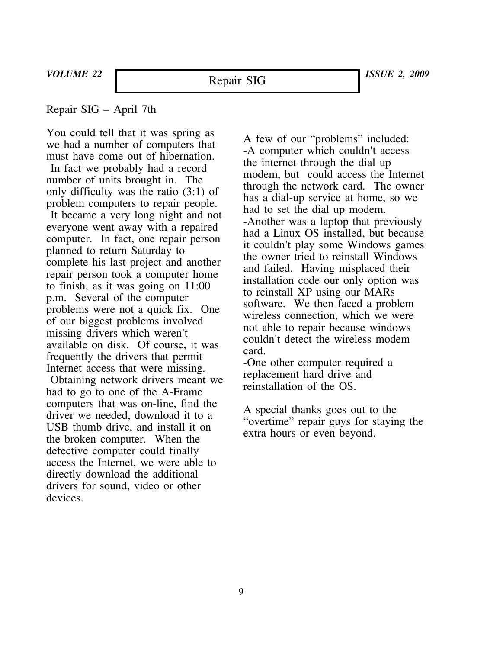# Repair SIG – April 7th

You could tell that it was spring as we had a number of computers that must have come out of hibernation.

In fact we probably had a record number of units brought in. The only difficulty was the ratio (3:1) of problem computers to repair people.

It became a very long night and not everyone went away with a repaired computer. In fact, one repair person planned to return Saturday to complete his last project and another repair person took a computer home to finish, as it was going on 11:00 p.m. Several of the computer problems were not a quick fix. One of our biggest problems involved missing drivers which weren't available on disk. Of course, it was frequently the drivers that permit Internet access that were missing. Obtaining network drivers meant we had to go to one of the A-Frame computers that was on-line, find the driver we needed, download it to a USB thumb drive, and install it on the broken computer. When the defective computer could finally access the Internet, we were able to directly download the additional drivers for sound, video or other devices.

A few of our "problems" included: -A computer which couldn't access the internet through the dial up modem, but could access the Internet through the network card. The owner has a dial-up service at home, so we had to set the dial up modem. -Another was a laptop that previously had a Linux OS installed, but because it couldn't play some Windows games the owner tried to reinstall Windows and failed. Having misplaced their installation code our only option was to reinstall XP using our MARs software. We then faced a problem wireless connection, which we were not able to repair because windows couldn't detect the wireless modem card.

-One other computer required a replacement hard drive and reinstallation of the OS.

A special thanks goes out to the "overtime" repair guys for staying the extra hours or even beyond.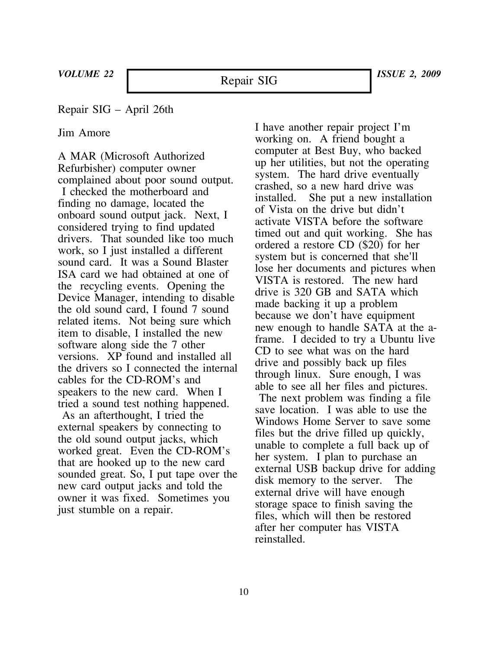Repair SIG

Repair SIG – April 26th

Jim Amore

A MAR (Microsoft Authorized Refurbisher) computer owner complained about poor sound output. I checked the motherboard and finding no damage, located the onboard sound output jack. Next, I considered trying to find updated drivers. That sounded like too much work, so I just installed a different sound card. It was a Sound Blaster ISA card we had obtained at one of the recycling events. Opening the Device Manager, intending to disable the old sound card, I found 7 sound related items. Not being sure which item to disable, I installed the new software along side the 7 other versions. XP found and installed all the drivers so I connected the internal cables for the CD-ROM's and speakers to the new card. When I tried a sound test nothing happened. As an afterthought, I tried the external speakers by connecting to the old sound output jacks, which worked great. Even the CD-ROM's that are hooked up to the new card sounded great. So, I put tape over the new card output jacks and told the owner it was fixed. Sometimes you just stumble on a repair.

I have another repair project I'm working on. A friend bought a computer at Best Buy, who backed up her utilities, but not the operating system. The hard drive eventually crashed, so a new hard drive was She put a new installation of Vista on the drive but didn't activate VISTA before the software timed out and quit working. She has ordered a restore CD (\$20) for her system but is concerned that she'll lose her documents and pictures when VISTA is restored. The new hard drive is 320 GB and SATA which made backing it up a problem because we don't have equipment new enough to handle SATA at the aframe. I decided to try a Ubuntu live CD to see what was on the hard drive and possibly back up files through linux. Sure enough, I was able to see all her files and pictures.

The next problem was finding a file save location. I was able to use the Windows Home Server to save some files but the drive filled up quickly, unable to complete a full back up of her system. I plan to purchase an external USB backup drive for adding disk memory to the server. The external drive will have enough storage space to finish saving the files, which will then be restored after her computer has VISTA reinstalled.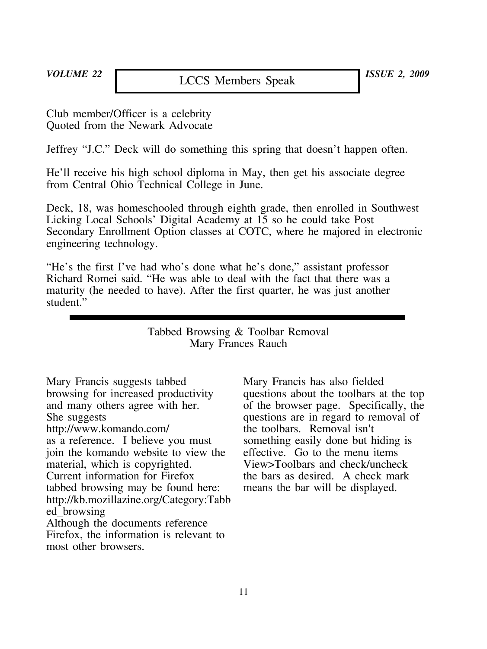Club member/Officer is a celebrity Quoted from the Newark Advocate

Jeffrey "J.C." Deck will do something this spring that doesn't happen often.

He'll receive his high school diploma in May, then get his associate degree from Central Ohio Technical College in June.

Deck, 18, was homeschooled through eighth grade, then enrolled in Southwest Licking Local Schools' Digital Academy at 15 so he could take Post Secondary Enrollment Option classes at COTC, where he majored in electronic engineering technology.

"He's the first I've had who's done what he's done," assistant professor Richard Romei said. "He was able to deal with the fact that there was a maturity (he needed to have). After the first quarter, he was just another student.'

> Tabbed Browsing & Toolbar Removal Mary Frances Rauch

Mary Francis suggests tabbed browsing for increased productivity and many others agree with her. She suggests http://www.komando.com/ as a reference. I believe you must join the komando website to view the material, which is copyrighted. Current information for Firefox tabbed browsing may be found here: http://kb.mozillazine.org/Category:Tabb ed\_browsing Although the documents reference Firefox, the information is relevant to most other browsers.

Mary Francis has also fielded questions about the toolbars at the top of the browser page. Specifically, the questions are in regard to removal of the toolbars. Removal isn't something easily done but hiding is effective. Go to the menu items View>Toolbars and check/uncheck the bars as desired. A check mark means the bar will be displayed.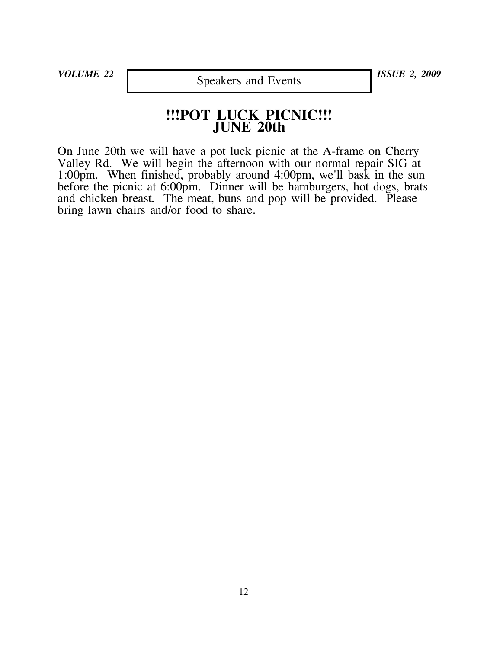*VOLUME 22 ISSUE 2, 2009* Speakers and Events

# **!!!POT LUCK PICNIC!!! JUNE 20th**

On June 20th we will have a pot luck picnic at the A-frame on Cherry Valley Rd. We will begin the afternoon with our normal repair SIG at 1:00pm. When finished, probably around 4:00pm, we'll bask in the sun before the picnic at 6:00pm. Dinner will be hamburgers, hot dogs, brats and chicken breast. The meat, buns and pop will be provided. Please bring lawn chairs and/or food to share.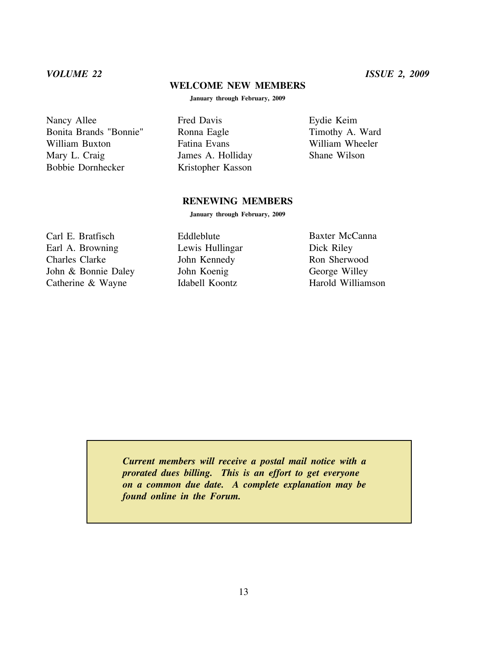# **WELCOME NEW MEMBERS**

**January through February, 2009**

Nancy Allee Bonita Brands "Bonnie" William Buxton Mary L. Craig Bobbie Dornhecker

Fred Davis Ronna Eagle Fatina Evans James A. Holliday Kristopher Kasson

Eydie Keim Timothy A. Ward William Wheeler Shane Wilson

## **RENEWING MEMBERS**

**January through February, 2009**

Carl E. Bratfisch Earl A. Browning Charles Clarke John & Bonnie Daley Catherine & Wayne

Eddleblute Lewis Hullingar John Kennedy John Koenig Idabell Koontz

Baxter McCanna Dick Riley Ron Sherwood George Willey Harold Williamson

*Current members will receive a postal mail notice with a prorated dues billing. This is an effort to get everyone on a common due date. A complete explanation may be found online in the Forum.*